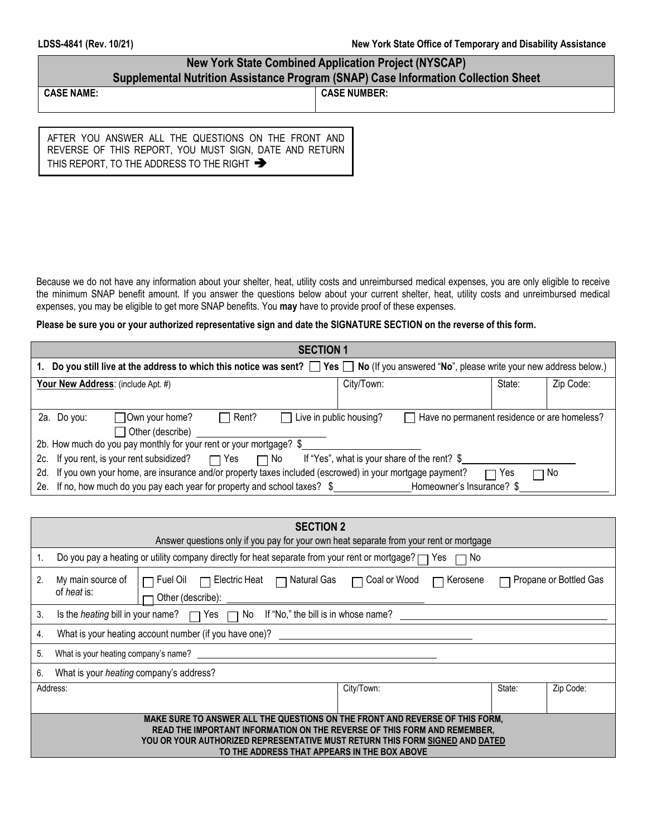# **New York State Combined Application Project (NYSCAP) Supplemental Nutrition Assistance Program (SNAP) Case Information Collection Sheet**

**CASE NAME: CASE NUMBER:**

AFTER YOU ANSWER ALL THE QUESTIONS ON THE FRONT AND REVERSE OF THIS REPORT, YOU MUST SIGN, DATE AND RETURN THIS REPORT, TO THE ADDRESS TO THE RIGHT  $\rightarrow$ 

Because we do not have any information about your shelter, heat, utility costs and unreimbursed medical expenses, you are only eligible to receive the minimum SNAP benefit amount. If you answer the questions below about your current shelter, heat, utility costs and unreimbursed medical expenses, you may be eligible to get more SNAP benefits. You **may** have to provide proof of these expenses.

#### **Please be sure you or your authorized representative sign and date the SIGNATURE SECTION on the reverse of this form.**

| <b>SECTION 1</b>                                                                                                                                        |            |        |           |  |  |
|---------------------------------------------------------------------------------------------------------------------------------------------------------|------------|--------|-----------|--|--|
| Do you still live at the address to which this notice was sent? $\Box$ Yes $\Box$ No (If you answered "No", please write your new address below.)<br>1. |            |        |           |  |  |
| Your New Address: (include Apt. #)                                                                                                                      | City/Town: | State: | Zip Code: |  |  |
|                                                                                                                                                         |            |        |           |  |  |
| Live in public housing?<br>$\Box$ Rent?<br>Own your home?<br>Have no permanent residence or are homeless?<br>2a. Do you:                                |            |        |           |  |  |
| $\Box$ Other (describe)                                                                                                                                 |            |        |           |  |  |
| 2b. How much do you pay monthly for your rent or your mortgage? \$                                                                                      |            |        |           |  |  |
| □ No If "Yes", what is your share of the rent? \$<br>2c. If you rent, is your rent subsidized?<br>$\Box$ Yes                                            |            |        |           |  |  |
| 2d. If you own your home, are insurance and/or property taxes included (escrowed) in your mortgage payment?<br>□ Yes<br>ヿ No                            |            |        |           |  |  |
| 2e. If no, how much do you pay each year for property and school taxes? \$<br>Homeowner's Insurance? \$                                                 |            |        |           |  |  |

| <b>SECTION 2</b><br>Answer questions only if you pay for your own heat separate from your rent or mortgage                                                                                                                                                                                |                                                                                                                                                               |  |  |  |  |  |
|-------------------------------------------------------------------------------------------------------------------------------------------------------------------------------------------------------------------------------------------------------------------------------------------|---------------------------------------------------------------------------------------------------------------------------------------------------------------|--|--|--|--|--|
|                                                                                                                                                                                                                                                                                           | Do you pay a heating or utility company directly for heat separate from your rent or mortgage? $\Box$ Yes<br>$\Box$ No                                        |  |  |  |  |  |
| 2.                                                                                                                                                                                                                                                                                        | □ Fuel Oil □ Electric Heat □ Natural Gas □ Coal or Wood<br>Propane or Bottled Gas<br>My main source of<br>$\Box$ Kerosene<br>of heat is:<br>Other (describe): |  |  |  |  |  |
| 3.                                                                                                                                                                                                                                                                                        | If "No," the bill is in whose name?<br>Is the <i>heating</i> bill in your name? $\Box$ Yes $\Box$<br>No                                                       |  |  |  |  |  |
| 4.                                                                                                                                                                                                                                                                                        | What is your heating account number (if you have one)?                                                                                                        |  |  |  |  |  |
| 5.                                                                                                                                                                                                                                                                                        | What is your heating company's name?                                                                                                                          |  |  |  |  |  |
| 6.                                                                                                                                                                                                                                                                                        | What is your <i>heating</i> company's address?                                                                                                                |  |  |  |  |  |
|                                                                                                                                                                                                                                                                                           | State:<br>City/Town:<br>Zip Code:<br>Address:                                                                                                                 |  |  |  |  |  |
| MAKE SURE TO ANSWER ALL THE QUESTIONS ON THE FRONT AND REVERSE OF THIS FORM.<br>READ THE IMPORTANT INFORMATION ON THE REVERSE OF THIS FORM AND REMEMBER,<br>YOU OR YOUR AUTHORIZED REPRESENTATIVE MUST RETURN THIS FORM SIGNED AND DATED.<br>TO THE ADDRESS THAT APPEARS IN THE BOX ABOVE |                                                                                                                                                               |  |  |  |  |  |